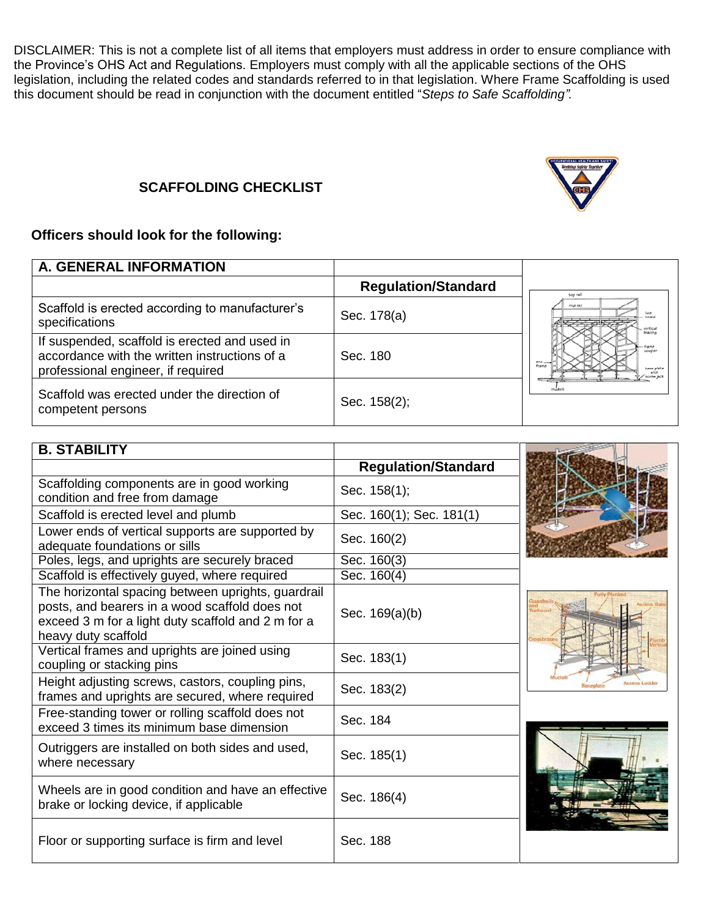DISCLAIMER: This is not a complete list of all items that employers must address in order to ensure compliance with the Province's OHS Act and Regulations. Employers must comply with all the applicable sections of the OHS legislation, including the related codes and standards referred to in that legislation. Where Frame Scaffolding is used this document should be read in conjunction with the document entitled "*Steps to Safe Scaffolding".*

## **SCAFFOLDING CHECKLIST**

## **Officers should look for the following:**

| <b>A. GENERAL INFORMATION</b>                                                                                                        |                            |                                          |
|--------------------------------------------------------------------------------------------------------------------------------------|----------------------------|------------------------------------------|
|                                                                                                                                      | <b>Regulation/Standard</b> | tion rail                                |
| Scaffold is erected according to manufacturer's<br>specifications                                                                    | Sec. 178(a)                | mid rall<br>bracina                      |
| If suspended, scaffold is erected and used in<br>accordance with the written instructions of a<br>professional engineer, if required | Sec. 180                   | frame<br>hase plate<br>with<br>ecrewjack |
| Scaffold was erected under the direction of<br>competent persons                                                                     | Sec. 158(2);               |                                          |

| <b>B. STABILITY</b>                                                                                                                                                               |                            |           |
|-----------------------------------------------------------------------------------------------------------------------------------------------------------------------------------|----------------------------|-----------|
|                                                                                                                                                                                   | <b>Regulation/Standard</b> |           |
| Scaffolding components are in good working<br>condition and free from damage                                                                                                      | Sec. 158(1);               |           |
| Scaffold is erected level and plumb                                                                                                                                               | Sec. 160(1); Sec. 181(1)   |           |
| Lower ends of vertical supports are supported by<br>adequate foundations or sills                                                                                                 | Sec. 160(2)                |           |
| Poles, legs, and uprights are securely braced                                                                                                                                     | Sec. 160(3)                |           |
| Scaffold is effectively guyed, where required                                                                                                                                     | Sec. 160(4)                |           |
| The horizontal spacing between uprights, guardrail<br>posts, and bearers in a wood scaffold does not<br>exceed 3 m for a light duty scaffold and 2 m for a<br>heavy duty scaffold | Sec. 169(a)(b)             |           |
| Vertical frames and uprights are joined using<br>coupling or stacking pins                                                                                                        | Sec. 183(1)                |           |
| Height adjusting screws, castors, coupling pins,<br>frames and uprights are secured, where required                                                                               | Sec. 183(2)                | America L |
| Free-standing tower or rolling scaffold does not<br>exceed 3 times its minimum base dimension                                                                                     | Sec. 184                   |           |
| Outriggers are installed on both sides and used,<br>where necessary                                                                                                               | Sec. 185(1)                |           |
| Wheels are in good condition and have an effective<br>brake or locking device, if applicable                                                                                      | Sec. 186(4)                |           |
| Floor or supporting surface is firm and level                                                                                                                                     | Sec. 188                   |           |